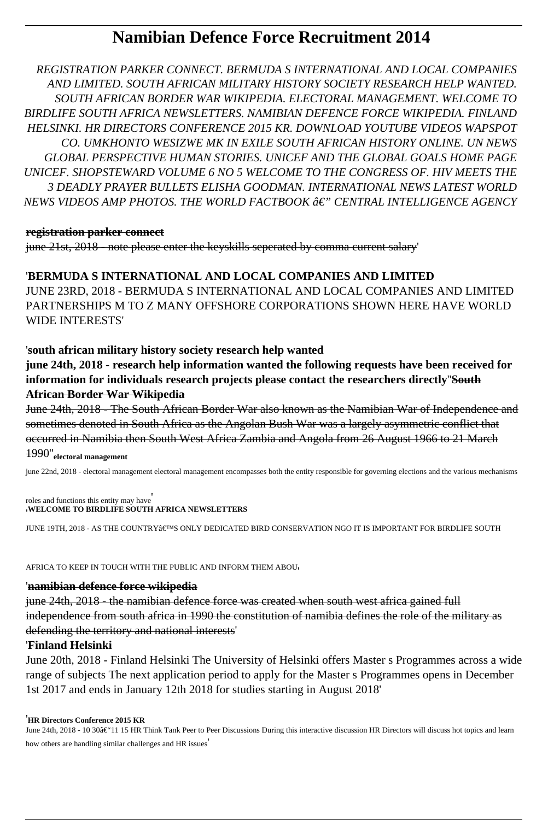# **Namibian Defence Force Recruitment 2014**

*REGISTRATION PARKER CONNECT. BERMUDA S INTERNATIONAL AND LOCAL COMPANIES AND LIMITED. SOUTH AFRICAN MILITARY HISTORY SOCIETY RESEARCH HELP WANTED. SOUTH AFRICAN BORDER WAR WIKIPEDIA. ELECTORAL MANAGEMENT. WELCOME TO BIRDLIFE SOUTH AFRICA NEWSLETTERS. NAMIBIAN DEFENCE FORCE WIKIPEDIA. FINLAND HELSINKI. HR DIRECTORS CONFERENCE 2015 KR. DOWNLOAD YOUTUBE VIDEOS WAPSPOT CO. UMKHONTO WESIZWE MK IN EXILE SOUTH AFRICAN HISTORY ONLINE. UN NEWS GLOBAL PERSPECTIVE HUMAN STORIES. UNICEF AND THE GLOBAL GOALS HOME PAGE UNICEF. SHOPSTEWARD VOLUME 6 NO 5 WELCOME TO THE CONGRESS OF. HIV MEETS THE 3 DEADLY PRAYER BULLETS ELISHA GOODMAN. INTERNATIONAL NEWS LATEST WORLD NEWS VIDEOS AMP PHOTOS. THE WORLD FACTBOOK â€" CENTRAL INTELLIGENCE AGENCY* 

#### **registration parker connect**

june 21st, 2018 - note please enter the keyskills seperated by comma current salary'

### '**BERMUDA S INTERNATIONAL AND LOCAL COMPANIES AND LIMITED**

JUNE 23RD, 2018 - BERMUDA S INTERNATIONAL AND LOCAL COMPANIES AND LIMITED PARTNERSHIPS M TO Z MANY OFFSHORE CORPORATIONS SHOWN HERE HAVE WORLD WIDE INTERESTS'

### '**south african military history society research help wanted**

**june 24th, 2018 - research help information wanted the following requests have been received for information for individuals research projects please contact the researchers directly**''**South African Border War Wikipedia**

June 24th, 2018 - The South African Border War also known as the Namibian War of Independence and sometimes denoted in South Africa as the Angolan Bush War was a largely asymmetric conflict that occurred in Namibia then South West Africa Zambia and Angola from 26 August 1966 to 21 March

1990''**electoral management**

june 22nd, 2018 - electoral management electoral management encompasses both the entity responsible for governing elections and the various mechanisms

roles and functions this entity may have' '**WELCOME TO BIRDLIFE SOUTH AFRICA NEWSLETTERS**

JUNE 19TH, 2018 - AS THE COUNTRY'S ONLY DEDICATED BIRD CONSERVATION NGO IT IS IMPORTANT FOR BIRDLIFE SOUTH

AFRICA TO KEEP IN TOUCH WITH THE PUBLIC AND INFORM THEM ABOU'

### '**namibian defence force wikipedia**

june 24th, 2018 - the namibian defence force was created when south west africa gained full independence from south africa in 1990 the constitution of namibia defines the role of the military as defending the territory and national interests'

### '**Finland Helsinki**

June 20th, 2018 - Finland Helsinki The University of Helsinki offers Master s Programmes across a wide range of subjects The next application period to apply for the Master s Programmes opens in December 1st 2017 and ends in January 12th 2018 for studies starting in August 2018'

#### '**HR Directors Conference 2015 KR**

June 24th, 2018 - 10 30–11 15 HR Think Tank Peer to Peer Discussions During this interactive discussion HR Directors will discuss hot topics and learn how others are handling similar challenges and HR issues'